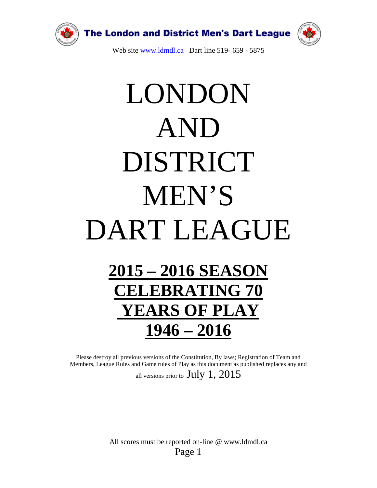

# LONDON AND DISTRICT MEN'S DART LEAGUE **2015 – 2016 SEASON**

## **CELEBRATING 70 YEARS OF PLAY 1946 – 2016**

Please destroy all previous versions of the Constitution, By laws; Registration of Team and Members, League Rules and Game rules of Play as this document as published replaces any and all versions prior to  $July 1, 2015$ 

> All scores must be reported on-line @ www.ldmdl.ca Page 1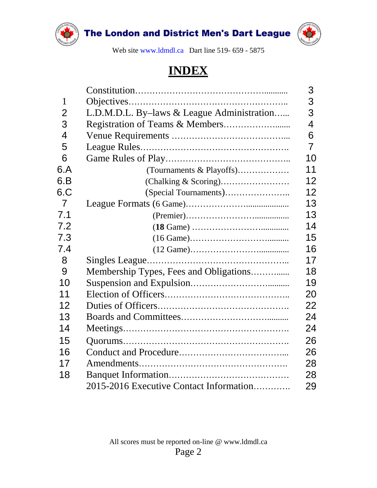



Web site [www.ldmdl.ca](http://www.ldmdl.ca/) Dart line 519- 659 - 5875

### **INDEX**

| $\mathbf{1}$   |                                            |
|----------------|--------------------------------------------|
| $\overline{2}$ | L.D.M.D.L. By-laws & League Administration |
| 3              |                                            |
| $\overline{4}$ |                                            |
| 5              |                                            |
| 6              |                                            |
| 6.A            | (Tournaments & Playoffs)                   |
| 6.B            |                                            |
| 6.C            |                                            |
| $\overline{7}$ |                                            |
| 7.1            |                                            |
| 7.2            |                                            |
| 7.3            |                                            |
| 7.4            |                                            |
| 8              |                                            |
| 9              | Membership Types, Fees and Obligations     |
| 10             |                                            |
| 11             |                                            |
| 12             |                                            |
| 13             |                                            |
| 14             |                                            |
| 15             |                                            |
| 16             |                                            |
| 17             |                                            |
| 18             |                                            |
|                | 2015-2016 Executive Contact Information    |
|                |                                            |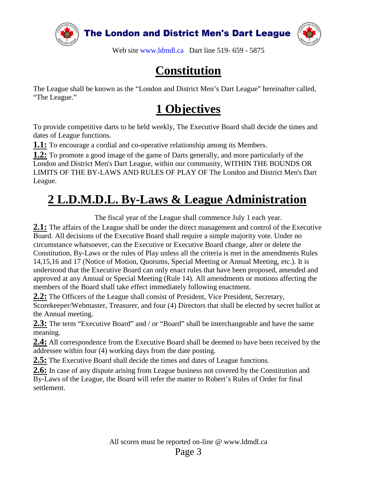



Web site [www.ldmdl.ca](http://www.ldmdl.ca/) Dart line 519- 659 - 5875

### **Constitution**

The League shall be known as the "London and District Men's Dart League" hereinafter called, "The League."

### **1 Objectives**

To provide competitive darts to be held weekly, The Executive Board shall decide the times and dates of League functions.

**1.1:** To encourage a cordial and co-operative relationship among its Members.

**1.2:** To promote a good image of the game of Darts generally, and more particularly of the London and District Men's Dart League, within our community, WITHIN THE BOUNDS OR LIMITS OF THE BY-LAWS AND RULES OF PLAY OF The London and District Men's Dart League.

### **2 L.D.M.D.L. By-Laws & League Administration**

The fiscal year of the League shall commence July 1 each year.

**2.1:** The affairs of the League shall be under the direct management and control of the Executive Board. All decisions of the Executive Board shall require a simple majority vote. Under no circumstance whatsoever, can the Executive or Executive Board change, alter or delete the Constitution, By-Laws or the rules of Play unless all the criteria is met in the amendments Rules 14,15,16 and 17 (Notice of Motion, Quorums, Special Meeting or Annual Meeting, etc.). It is understood that the Executive Board can only enact rules that have been proposed, amended and approved at any Annual or Special Meeting (Rule 14). All amendments or motions affecting the members of the Board shall take effect immediately following enactment.

2.2: The Officers of the League shall consist of President, Vice President, Secretary, Scorekeeper/Webmaster, Treasurer, and four (4) Directors that shall be elected by secret ballot at the Annual meeting.

**2.3:** The term "Executive Board" and / or "Board" shall be interchangeable and have the same meaning.

**2.4:** All correspondence from the Executive Board shall be deemed to have been received by the addressee within four (4) working days from the date posting.

**2.5:** The Executive Board shall decide the times and dates of League functions.

**2.6:** In case of any dispute arising from League business not covered by the Constitution and By-Laws of the League, the Board will refer the matter to Robert's Rules of Order for final settlement.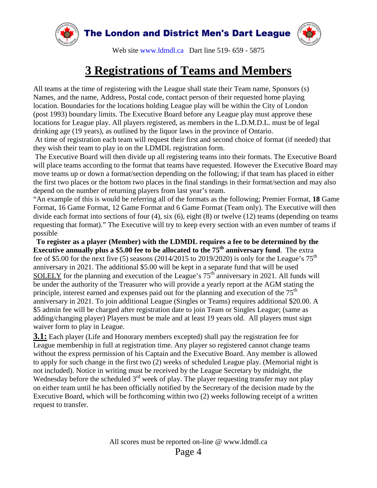

### **3 Registrations of Teams and Members**

All teams at the time of registering with the League shall state their Team name, Sponsors (s) Names, and the name, Address, Postal code, contact person of their requested home playing location. Boundaries for the locations holding League play will be within the City of London (post 1993) boundary limits. The Executive Board before any League play must approve these locations for League play. All players registered, as members in the L.D.M.D.L. must be of legal drinking age (19 years), as outlined by the liquor laws in the province of Ontario.

At time of registration each team will request their first and second choice of format (if needed) that they wish their team to play in on the LDMDL registration form.

The Executive Board will then divide up all registering teams into their formats. The Executive Board will place teams according to the format that teams have requested. However the Executive Board may move teams up or down a format/section depending on the following; if that team has placed in either the first two places or the bottom two places in the final standings in their format/section and may also depend on the number of returning players from last year's team.

"An example of this is would be referring all of the formats as the following; Premier Format, **18** Game Format, 16 Game Format, 12 Game Format and 6 Game Format (Team only). The Executive will then divide each format into sections of four (4), six (6), eight (8) or twelve (12) teams (depending on teams requesting that format)." The Executive will try to keep every section with an even number of teams if possible

**To register as a player (Member) with the LDMDL requires a fee to be determined by the Executive annually plus a \$5.00 fee to be allocated to the 75<sup>th</sup> anniversary fund. The extra** fee of \$5.00 for the next five (5) seasons (2014/2015 to 2019/2020) is only for the League's  $75<sup>th</sup>$ anniversary in 2021. The additional \$5.00 will be kept in a separate fund that will be used SOLELY for the planning and execution of the League's  $75<sup>th</sup>$  anniversary in 2021. All funds will be under the authority of the Treasurer who will provide a yearly report at the AGM stating the principle, interest earned and expenses paid out for the planning and execution of the  $75<sup>th</sup>$ anniversary in 2021. To join additional League (Singles or Teams) requires additional \$20.00. A \$5 admin fee will be charged after registration date to join Team or Singles League; (same as adding/changing player) Players must be male and at least 19 years old. All players must sign waiver form to play in League.

**3.1:** Each player (Life and Honorary members excepted) shall pay the registration fee for League membership in full at registration time. Any player so registered cannot change teams without the express permission of his Captain and the Executive Board. Any member is allowed to apply for such change in the first two (2) weeks of scheduled League play. (Memorial night is not included). Notice in writing must be received by the League Secretary by midnight, the Wednesday before the scheduled 3<sup>rd</sup> week of play. The player requesting transfer may not play on either team until he has been officially notified by the Secretary of the decision made by the Executive Board, which will be forthcoming within two (2) weeks following receipt of a written request to transfer.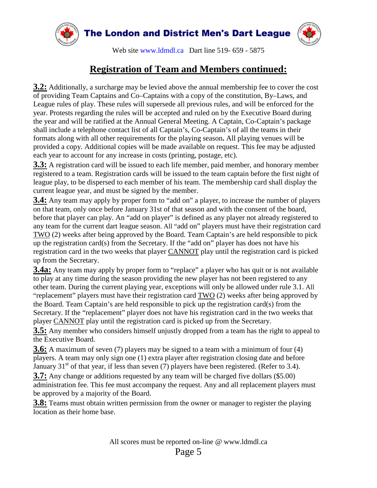

#### **Registration of Team and Members continued:**

**3.2:** Additionally, a surcharge may be levied above the annual membership fee to cover the cost of providing Team Captains and Co–Captains with a copy of the constitution, By–Laws, and League rules of play. These rules will supersede all previous rules, and will be enforced for the year. Protests regarding the rules will be accepted and ruled on by the Executive Board during the year and will be ratified at the Annual General Meeting. A Captain, Co-Captain's package shall include a telephone contact list of all Captain's, Co-Captain's of all the teams in their formats along with all other requirements for the playing season**.** All playing venues will be provided a copy. Additional copies will be made available on request. This fee may be adjusted each year to account for any increase in costs (printing, postage, etc).

**3.3:** A registration card will be issued to each life member, paid member, and honorary member registered to a team. Registration cards will be issued to the team captain before the first night of league play, to be dispersed to each member of his team. The membership card shall display the current league year, and must be signed by the member.

**3.4:** Any team may apply by proper form to "add on" a player, to increase the number of players on that team, only once before January 31st of that season and with the consent of the board, before that player can play. An "add on player" is defined as any player not already registered to any team for the current dart league season. All "add on" players must have their registration card TWO (2) weeks after being approved by the Board. Team Captain's are held responsible to pick up the registration card(s) from the Secretary. If the "add on" player has does not have his registration card in the two weeks that player CANNOT play until the registration card is picked up from the Secretary.

**3.4a:** Any team may apply by proper form to "replace" a player who has quit or is not available to play at any time during the season providing the new player has not been registered to any other team. During the current playing year, exceptions will only be allowed under rule 3.1. All "replacement" players must have their registration card TWO (2) weeks after being approved by the Board. Team Captain's are held responsible to pick up the registration card(s) from the Secretary. If the "replacement" player does not have his registration card in the two weeks that player CANNOT play until the registration card is picked up from the Secretary.

**3.5:** Any member who considers himself unjustly dropped from a team has the right to appeal to the Executive Board.

**3.6:** A maximum of seven (7) players may be signed to a team with a minimum of four (4) players. A team may only sign one (1) extra player after registration closing date and before January 31<sup>st</sup> of that year, if less than seven (7) players have been registered. (Refer to 3.4).

**3.7:** Any change or additions requested by any team will be charged five dollars (\$5.00) administration fee. This fee must accompany the request. Any and all replacement players must be approved by a majority of the Board.

**3.8:** Teams must obtain written permission from the owner or manager to register the playing location as their home base.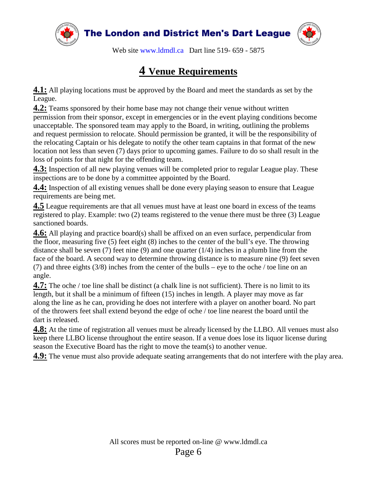



Web site [www.ldmdl.ca](http://www.ldmdl.ca/) Dart line 519- 659 - 5875

#### **4 Venue Requirements**

**4.1:** All playing locations must be approved by the Board and meet the standards as set by the League.

**4.2:** Teams sponsored by their home base may not change their venue without written permission from their sponsor, except in emergencies or in the event playing conditions become unacceptable. The sponsored team may apply to the Board, in writing, outlining the problems and request permission to relocate. Should permission be granted, it will be the responsibility of the relocating Captain or his delegate to notify the other team captains in that format of the new location not less than seven (7) days prior to upcoming games. Failure to do so shall result in the loss of points for that night for the offending team.

**4.3:** Inspection of all new playing venues will be completed prior to regular League play. These inspections are to be done by a committee appointed by the Board.

**4.4:** Inspection of all existing venues shall be done every playing season to ensure that League requirements are being met.

**4.5** League requirements are that all venues must have at least one board in excess of the teams registered to play. Example: two (2) teams registered to the venue there must be three (3) League sanctioned boards.

**4.6:** All playing and practice board(s) shall be affixed on an even surface, perpendicular from the floor, measuring five (5) feet eight (8) inches to the center of the bull's eye. The throwing distance shall be seven  $(7)$  feet nine  $(9)$  and one quarter  $(1/4)$  inches in a plumb line from the face of the board. A second way to determine throwing distance is to measure nine (9) feet seven (7) and three eights (3/8) inches from the center of the bulls – eye to the oche / toe line on an angle.

**4.7:** The oche / toe line shall be distinct (a chalk line is not sufficient). There is no limit to its length, but it shall be a minimum of fifteen (15) inches in length. A player may move as far along the line as he can, providing he does not interfere with a player on another board. No part of the throwers feet shall extend beyond the edge of oche / toe line nearest the board until the dart is released.

**4.8:** At the time of registration all venues must be already licensed by the LLBO. All venues must also keep there LLBO license throughout the entire season. If a venue does lose its liquor license during season the Executive Board has the right to move the team(s) to another venue.

**4.9:** The venue must also provide adequate seating arrangements that do not interfere with the play area.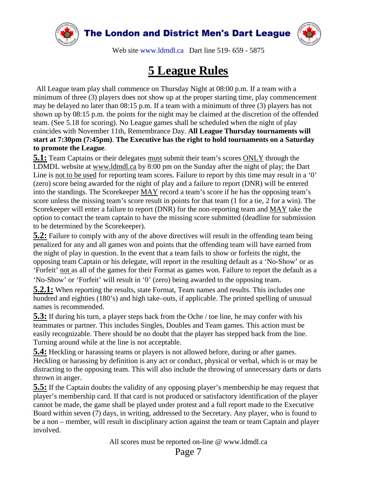



Web site [www.ldmdl.ca](http://www.ldmdl.ca/) Dart line 519- 659 - 5875

### **5 League Rules**

 All League team play shall commence on Thursday Night at 08:00 p.m. If a team with a minimum of three (3) players does not show up at the proper starting time, play commencement may be delayed no later than 08:15 p.m. If a team with a minimum of three (3) players has not shown up by 08:15 p.m. the points for the night may be claimed at the discretion of the offended team. (See 5.18 for scoring). No League games shall be scheduled when the night of play coincides with November 11th, Remembrance Day. **All League Thursday tournaments will start at 7:30pm (7:45pm)**. **The Executive has the right to hold tournaments on a Saturday to promote the League**.

**5.1:** Team Captains or their delegates must submit their team's scores ONLY through the LDMDL website at www.ldmdl.ca by 8:00 pm on the Sunday after the night of play; the Dart Line is not to be used for reporting team scores. Failure to report by this time may result in a '0' (zero) score being awarded for the night of play and a failure to report (DNR) will be entered into the standings. The Scorekeeper MAY record a team's score if he has the opposing team's score unless the missing team's score result in points for that team (1 for a tie, 2 for a win). The Scorekeeper will enter a failure to report (DNR) for the non-reporting team and MAY take the option to contact the team captain to have the missing score submitted (deadline for submission to be determined by the Scorekeeper).

**5.2:** Failure to comply with any of the above directives will result in the offending team being penalized for any and all games won and points that the offending team will have earned from the night of play in question. In the event that a team fails to show or forfeits the night, the opposing team Captain or his delegate, will report in the resulting default as a 'No-Show' or as 'Forfeit' not as all of the games for their Format as games won. Failure to report the default as a 'No-Show' or 'Forfeit' will result in '0' (zero) being awarded to the opposing team.

**5.2.1:** When reporting the results, state Format, Team names and results. This includes one hundred and eighties (180's) and high take–outs, if applicable. The printed spelling of unusual names is recommended.

**5.3:** If during his turn, a player steps back from the Oche / toe line, he may confer with his teammates or partner. This includes Singles, Doubles and Team games. This action must be easily recognizable. There should be no doubt that the player has stepped back from the line. Turning around while at the line is not acceptable.

**5.4:** Heckling or harassing teams or players is not allowed before, during or after games. Heckling or harassing by definition is any act or conduct, physical or verbal, which is or may be distracting to the opposing team. This will also include the throwing of unnecessary darts or darts thrown in anger.

**5.5:** If the Captain doubts the validity of any opposing player's membership he may request that player's membership card. If that card is not produced or satisfactory identification of the player cannot be made, the game shall be played under protest and a full report made to the Executive Board within seven (7) days, in writing, addressed to the Secretary. Any player, who is found to be a non – member, will result in disciplinary action against the team or team Captain and player involved.

All scores must be reported on-line @ www.ldmdl.ca

Page 7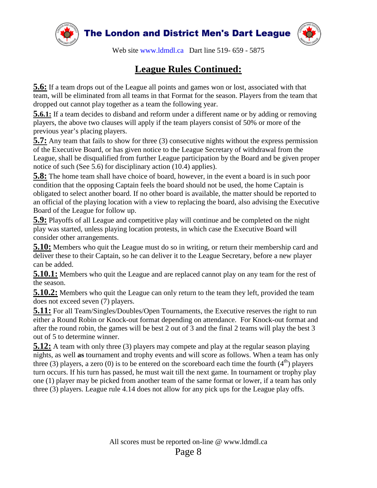



Web site [www.ldmdl.ca](http://www.ldmdl.ca/) Dart line 519- 659 - 5875

#### **League Rules Continued:**

**5.6:** If a team drops out of the League all points and games won or lost, associated with that team, will be eliminated from all teams in that Format for the season. Players from the team that dropped out cannot play together as a team the following year.

**5.6.1:** If a team decides to disband and reform under a different name or by adding or removing players, the above two clauses will apply if the team players consist of 50% or more of the previous year's placing players.

**5.7:** Any team that fails to show for three (3) consecutive nights without the express permission of the Executive Board, or has given notice to the League Secretary of withdrawal from the League, shall be disqualified from further League participation by the Board and be given proper notice of such (See 5.6) for disciplinary action (10.4) applies).

**5.8:** The home team shall have choice of board, however, in the event a board is in such poor condition that the opposing Captain feels the board should not be used, the home Captain is obligated to select another board. If no other board is available, the matter should be reported to an official of the playing location with a view to replacing the board, also advising the Executive Board of the League for follow up.

**5.9:** Playoffs of all League and competitive play will continue and be completed on the night play was started, unless playing location protests, in which case the Executive Board will consider other arrangements.

**5.10:** Members who quit the League must do so in writing, or return their membership card and deliver these to their Captain, so he can deliver it to the League Secretary, before a new player can be added.

**5.10.1:** Members who quit the League and are replaced cannot play on any team for the rest of the season.

**5.10.2:** Members who quit the League can only return to the team they left, provided the team does not exceed seven (7) players.

**5.11:** For all Team/Singles/Doubles/Open Tournaments, the Executive reserves the right to run either a Round Robin or Knock-out format depending on attendance. For Knock-out format and after the round robin, the games will be best 2 out of 3 and the final 2 teams will play the best 3 out of 5 to determine winner.

**5.12:** A team with only three (3) players may compete and play at the regular season playing nights, as well **as** tournament and trophy events and will score as follows. When a team has only three (3) players, a zero (0) is to be entered on the scoreboard each time the fourth  $(4<sup>th</sup>)$  players turn occurs. If his turn has passed, he must wait till the next game. In tournament or trophy play one (1) player may be picked from another team of the same format or lower, if a team has only three (3) players. League rule 4.14 does not allow for any pick ups for the League play offs.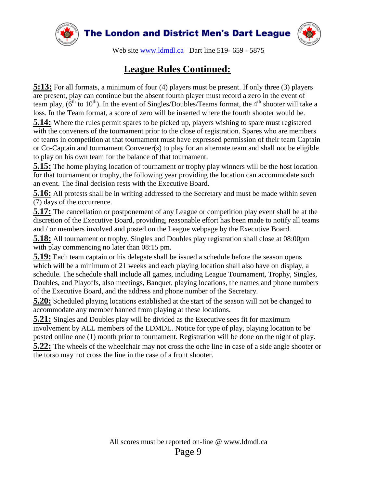

#### **League Rules Continued:**

**5:13:** For all formats, a minimum of four (4) players must be present. If only three (3) players are present, play can continue but the absent fourth player must record a zero in the event of team play,  $(6^{th}$  to  $10^{th})$ . In the event of Singles/Doubles/Teams format, the 4<sup>th</sup> shooter will take a loss. In the Team format, a score of zero will be inserted where the fourth shooter would be.

**5.14:** Where the rules permit spares to be picked up, players wishing to spare must registered with the conveners of the tournament prior to the close of registration. Spares who are members of teams in competition at that tournament must have expressed permission of their team Captain or Co-Captain and tournament Convener(s) to play for an alternate team and shall not be eligible to play on his own team for the balance of that tournament.

**5.15:** The home playing location of tournament or trophy play winners will be the host location for that tournament or trophy, the following year providing the location can accommodate such an event. The final decision rests with the Executive Board.

**5.16:** All protests shall be in writing addressed to the Secretary and must be made within seven (7) days of the occurrence.

**5.17:** The cancellation or postponement of any League or competition play event shall be at the discretion of the Executive Board, providing, reasonable effort has been made to notify all teams and / or members involved and posted on the League webpage by the Executive Board.

**5.18:** All tournament or trophy, Singles and Doubles play registration shall close at 08:00pm with play commencing no later than 08:15 pm.

**5.19:** Each team captain or his delegate shall be issued a schedule before the season opens which will be a minimum of 21 weeks and each playing location shall also have on display, a schedule. The schedule shall include all games, including League Tournament, Trophy, Singles, Doubles, and Playoffs, also meetings, Banquet, playing locations, the names and phone numbers of the Executive Board, and the address and phone number of the Secretary.

**5.20:** Scheduled playing locations established at the start of the season will not be changed to accommodate any member banned from playing at these locations.

**5.21:** Singles and Doubles play will be divided as the Executive sees fit for maximum involvement by ALL members of the LDMDL. Notice for type of play, playing location to be posted online one (1) month prior to tournament. Registration will be done on the night of play.

**5.22:** The wheels of the wheelchair may not cross the oche line in case of a side angle shooter or the torso may not cross the line in the case of a front shooter.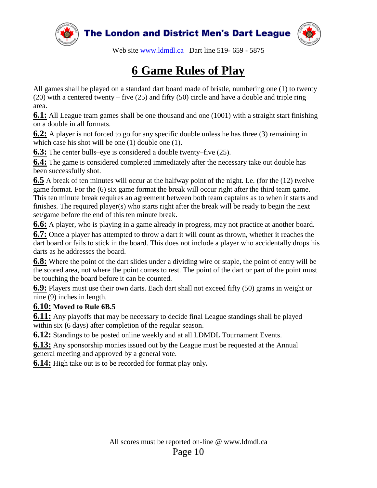

### **6 Game Rules of Play**

All games shall be played on a standard dart board made of bristle, numbering one (1) to twenty (20) with a centered twenty – five (25) and fifty (50) circle and have a double and triple ring area.

**6.1:** All League team games shall be one thousand and one (1001) with a straight start finishing on a double in all formats.

**6.2:** A player is not forced to go for any specific double unless he has three (3) remaining in which case his shot will be one (1) double one (1).

**6.3:** The center bulls–eye is considered a double twenty–five (25).

**6.4:** The game is considered completed immediately after the necessary take out double has been successfully shot.

**6.5** A break of ten minutes will occur at the halfway point of the night. I.e. (for the (12) twelve game format. For the (6) six game format the break will occur right after the third team game. This ten minute break requires an agreement between both team captains as to when it starts and finishes. The required player(s) who starts right after the break will be ready to begin the next set/game before the end of this ten minute break.

**6.6:** A player, who is playing in a game already in progress, may not practice at another board.

**6.7:** Once a player has attempted to throw a dart it will count as thrown, whether it reaches the dart board or fails to stick in the board. This does not include a player who accidentally drops his darts as he addresses the board.

**6.8:** Where the point of the dart slides under a dividing wire or staple, the point of entry will be the scored area, not where the point comes to rest. The point of the dart or part of the point must be touching the board before it can be counted.

**6.9:** Players must use their own darts. Each dart shall not exceed fifty (50) grams in weight or nine (9) inches in length.

#### **6.10: Moved to Rule 6B.5**

**6.11:** Any playoffs that may be necessary to decide final League standings shall be played within six **(**6 days) after completion of the regular season.

**6.12:** Standings to be posted online weekly and at all LDMDL Tournament Events.

**6.13:** Any sponsorship monies issued out by the League must be requested at the Annual general meeting and approved by a general vote.

**6.14:** High take out is to be recorded for format play only**.**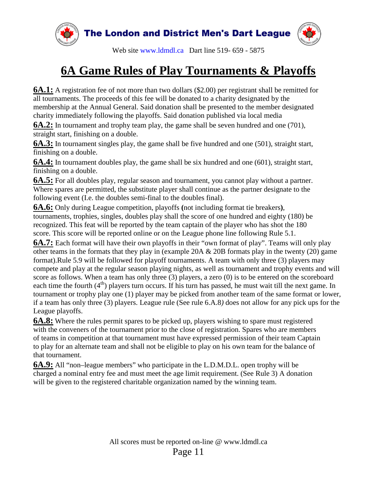

### **6A Game Rules of Play Tournaments & Playoffs**

**6A.1:** A registration fee of not more than two dollars (\$2.00) per registrant shall be remitted for all tournaments. The proceeds of this fee will be donated to a charity designated by the membership at the Annual General. Said donation shall be presented to the member designated charity immediately following the playoffs. Said donation published via local media

**6A.2:** In tournament and trophy team play, the game shall be seven hundred and one (701), straight start, finishing on a double.

**6A.3:** In tournament singles play, the game shall be five hundred and one (501), straight start, finishing on a double.

**6A.4:** In tournament doubles play, the game shall be six hundred and one (601), straight start, finishing on a double.

**6A.5:** For all doubles play, regular season and tournament, you cannot play without a partner. Where spares are permitted, the substitute player shall continue as the partner designate to the following event (I.e. the doubles semi-final to the doubles final).

**6A.6:** Only during League competition, playoffs **(**not including format tie breakers**)**, tournaments, trophies, singles, doubles play shall the score of one hundred and eighty (180) be recognized. This feat will be reported by the team captain of the player who has shot the 180 score. This score will be reported online or on the League phone line following Rule 5.1.

**6A.7:** Each format will have their own playoffs in their "own format of play". Teams will only play other teams in the formats that they play in (example 20A & 20B formats play in the twenty (20) game format).Rule 5.9 will be followed for playoff tournaments. A team with only three (3) players may compete and play at the regular season playing nights, as well as tournament and trophy events and will score as follows. When a team has only three (3) players, a zero (0) is to be entered on the scoreboard each time the fourth  $(4<sup>th</sup>)$  players turn occurs. If his turn has passed, he must wait till the next game. In tournament or trophy play one (1) player may be picked from another team of the same format or lower, if a team has only three (3) players. League rule (See rule 6.A.8*)* does not allow for any pick ups for the League playoffs.

**6A.8:** Where the rules permit spares to be picked up, players wishing to spare must registered with the conveners of the tournament prior to the close of registration. Spares who are members of teams in competition at that tournament must have expressed permission of their team Captain to play for an alternate team and shall not be eligible to play on his own team for the balance of that tournament.

**6A.9:** All "non–league members" who participate in the L.D.M.D.L. open trophy will be charged a nominal entry fee and must meet the age limit requirement. (See Rule 3) A donation will be given to the registered charitable organization named by the winning team.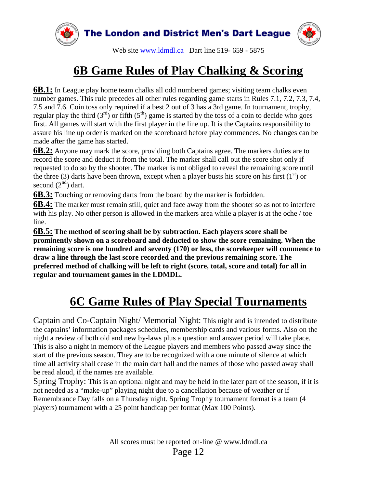

### **6B Game Rules of Play Chalking & Scoring**

**6B.1:** In League play home team chalks all odd numbered games; visiting team chalks even number games. This rule precedes all other rules regarding game starts in Rules 7.1, 7.2, 7.3, 7.4, 7.5 and 7.6. Coin toss only required if a best 2 out of 3 has a 3rd game. In tournament, trophy, regular play the third  $(3<sup>rd</sup>)$  or fifth  $(5<sup>th</sup>)$  game is started by the toss of a coin to decide who goes first. All games will start with the first player in the line up. It is the Captains responsibility to assure his line up order is marked on the scoreboard before play commences. No changes can be made after the game has started.

**6B.2:** Anyone may mark the score, providing both Captains agree. The markers duties are to record the score and deduct it from the total. The marker shall call out the score shot only if requested to do so by the shooter. The marker is not obliged to reveal the remaining score until the three (3) darts have been thrown, except when a player busts his score on his first ( $1<sup>st</sup>$ ) or second  $(2<sup>nd</sup>)$  dart.

**6B.3:** Touching or removing darts from the board by the marker is forbidden.

**6B.4:** The marker must remain still, quiet and face away from the shooter so as not to interfere with his play. No other person is allowed in the markers area while a player is at the oche / toe line.

**6B.5: The method of scoring shall be by subtraction. Each players score shall be prominently shown on a scoreboard and deducted to show the score remaining. When the remaining score is one hundred and seventy (170) or less, the scorekeeper will commence to draw a line through the last score recorded and the previous remaining score. The preferred method of chalking will be left to right (score, total, score and total) for all in regular and tournament games in the LDMDL.**

### **6C Game Rules of Play Special Tournaments**

Captain and Co-Captain Night/ Memorial Night: This night and is intended to distribute the captains' information packages schedules, membership cards and various forms. Also on the night a review of both old and new by-laws plus a question and answer period will take place. This is also a night in memory of the League players and members who passed away since the start of the previous season. They are to be recognized with a one minute of silence at which time all activity shall cease in the main dart hall and the names of those who passed away shall be read aloud, if the names are available.

Spring Trophy: This is an optional night and may be held in the later part of the season, if it is not needed as a "make-up" playing night due to a cancellation because of weather or if Remembrance Day falls on a Thursday night. Spring Trophy tournament format is a team (4 players) tournament with a 25 point handicap per format (Max 100 Points).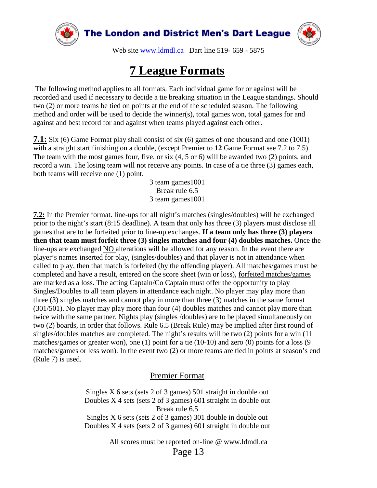



Web site [www.ldmdl.ca](http://www.ldmdl.ca/) Dart line 519- 659 - 5875

#### **7 League Formats**

The following method applies to all formats. Each individual game for or against will be recorded and used if necessary to decide a tie breaking situation in the League standings. Should two (2) or more teams be tied on points at the end of the scheduled season. The following method and order will be used to decide the winner(s), total games won, total games for and against and best record for and against when teams played against each other.

**7.1:** Six (6) Game Format play shall consist of six (6) games of one thousand and one (1001) with a straight start finishing on a double, (except Premier to **12** Game Format see 7.2 to 7.5). The team with the most games four, five, or six (4, 5 or 6) will be awarded two (2) points, and record a win. The losing team will not receive any points. In case of a tie three (3) games each, both teams will receive one (1) point.

> 3 team games1001 Break rule 6.5 3 team games1001

**7.2:** In the Premier format. line-ups for all night's matches (singles/doubles) will be exchanged prior to the night's start (8:15 deadline). A team that only has three (3) players must disclose all games that are to be forfeited prior to line-up exchanges. **If a team only has three (3) players then that team must forfeit three (3) singles matches and four (4) doubles matches.** Once the line-ups are exchanged NO alterations will be allowed for any reason. In the event there are player's names inserted for play, (singles/doubles) and that player is not in attendance when called to play, then that match is forfeited (by the offending player). All matches/games must be completed and have a result, entered on the score sheet (win or loss), forfeited matches/games are marked as a loss. The acting Captain/Co Captain must offer the opportunity to play Singles/Doubles to all team players in attendance each night. No player may play more than three (3) singles matches and cannot play in more than three (3) matches in the same format (301/501). No player may play more than four (4) doubles matches and cannot play more than twice with the same partner. Nights play (singles /doubles) are to be played simultaneously on two (2) boards, in order that follows. Rule 6.5 (Break Rule) may be implied after first round of singles/doubles matches are completed. The night's results will be two (2) points for a win (11 matches/games or greater won), one (1) point for a tie (10-10) and zero (0) points for a loss (9 matches/games or less won). In the event two (2) or more teams are tied in points at season's end (Rule 7) is used.

#### Premier Format

Singles X 6 sets (sets 2 of 3 games) 501 straight in double out Doubles X 4 sets (sets 2 of 3 games) 601 straight in double out Break rule 6.5 Singles X 6 sets (sets 2 of 3 games) 301 double in double out Doubles X 4 sets (sets 2 of 3 games) 601 straight in double out

All scores must be reported on-line @ www.ldmdl.ca

Page 13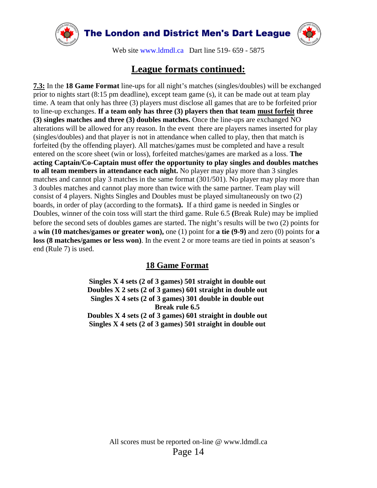



Web site [www.ldmdl.ca](http://www.ldmdl.ca/) Dart line 519- 659 - 5875

#### **League formats continued:**

**7.3:** In the **18 Game Format** line-ups for all night's matches (singles/doubles) will be exchanged prior to nights start (8:15 pm deadline), except team game (s), it can be made out at team play time. A team that only has three (3) players must disclose all games that are to be forfeited prior to line-up exchanges. **If a team only has three (3) players then that team must forfeit three (3) singles matches and three (3) doubles matches.** Once the line-ups are exchanged NO alterations will be allowed for any reason. In the event there are players names inserted for play (singles/doubles) and that player is not in attendance when called to play, then that match is forfeited (by the offending player). All matches/games must be completed and have a result entered on the score sheet (win or loss), forfeited matches/games are marked as a loss. **The acting Captain/Co-Captain must offer the opportunity to play singles and doubles matches to all team members in attendance each night.** No player may play more than 3 singles matches and cannot play 3 matches in the same format (301/501). No player may play more than 3 doubles matches and cannot play more than twice with the same partner. Team play will consist of 4 players. Nights Singles and Doubles must be played simultaneously on two (2) boards, in order of play (according to the formats**).** If a third game is needed in Singles or Doubles, winner of the coin toss will start the third game. Rule 6.5 **(**Break Rule) may be implied before the second sets of doubles games are started. The night's results will be two (2) points for a **win (10 matches/games or greater won),** one (1) point for **a tie (9-9)** and zero (0) points for **a loss (8 matches/games or less won)**. In the event 2 or more teams are tied in points at season's end (Rule 7) is used.

#### **18 Game Format**

**Singles X 4 sets (2 of 3 games) 501 straight in double out Doubles X 2 sets (2 of 3 games) 601 straight in double out Singles X 4 sets (2 of 3 games) 301 double in double out Break rule 6.5 Doubles X 4 sets (2 of 3 games) 601 straight in double out Singles X 4 sets (2 of 3 games) 501 straight in double out**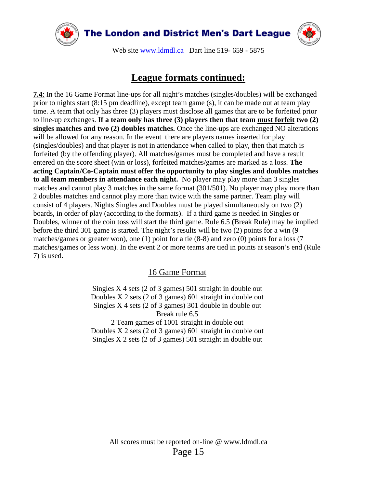

### **League formats continued:**

**7.4**: In the 16 Game Format line-ups for all night's matches (singles/doubles) will be exchanged prior to nights start (8:15 pm deadline), except team game (s), it can be made out at team play time. A team that only has three (3) players must disclose all games that are to be forfeited prior to line-up exchanges. **If a team only has three (3) players then that team must forfeit two (2) singles matches and two (2) doubles matches.** Once the line-ups are exchanged NO alterations will be allowed for any reason. In the event there are players names inserted for play (singles/doubles) and that player is not in attendance when called to play, then that match is forfeited (by the offending player). All matches/games must be completed and have a result entered on the score sheet (win or loss), forfeited matches/games are marked as a loss. **The acting Captain/Co-Captain must offer the opportunity to play singles and doubles matches to all team members in attendance each night.** No player may play more than 3 singles matches and cannot play 3 matches in the same format (301/501). No player may play more than 2 doubles matches and cannot play more than twice with the same partner. Team play will consist of 4 players. Nights Singles and Doubles must be played simultaneously on two (2) boards, in order of play (according to the formats). If a third game is needed in Singles or Doubles, winner of the coin toss will start the third game. Rule 6.5 **(**Break Rule**)** may be implied before the third 301 game is started. The night's results will be two (2) points for a win (9 matches/games or greater won), one (1) point for a tie (8-8) and zero (0) points for a loss (7 matches/games or less won). In the event 2 or more teams are tied in points at season's end (Rule 7) is used.

#### 16 Game Format

Singles X 4 sets (2 of 3 games) 501 straight in double out Doubles X 2 sets (2 of 3 games) 601 straight in double out Singles X 4 sets (2 of 3 games) 301 double in double out Break rule 6.5 2 Team games of 1001 straight in double out Doubles X 2 sets (2 of 3 games) 601 straight in double out

Singles X 2 sets (2 of 3 games) 501 straight in double out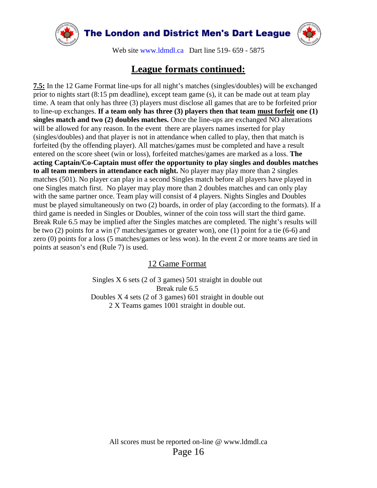



Web site [www.ldmdl.ca](http://www.ldmdl.ca/) Dart line 519- 659 - 5875

#### **League formats continued:**

**7.5:** In the 12 Game Format line-ups for all night's matches (singles/doubles) will be exchanged prior to nights start (8:15 pm deadline), except team game (s), it can be made out at team play time. A team that only has three (3) players must disclose all games that are to be forfeited prior to line-up exchanges. **If a team only has three (3) players then that team must forfeit one (1) singles match and two (2) doubles matches.** Once the line-ups are exchanged NO alterations will be allowed for any reason. In the event there are players names inserted for play (singles/doubles) and that player is not in attendance when called to play, then that match is forfeited (by the offending player). All matches/games must be completed and have a result entered on the score sheet (win or loss), forfeited matches/games are marked as a loss. **The acting Captain/Co-Captain must offer the opportunity to play singles and doubles matches to all team members in attendance each night.** No player may play more than 2 singles matches (501). No player can play in a second Singles match before all players have played in one Singles match first. No player may play more than 2 doubles matches and can only play with the same partner once. Team play will consist of 4 players. Nights Singles and Doubles must be played simultaneously on two (2) boards, in order of play (according to the formats). If a third game is needed in Singles or Doubles, winner of the coin toss will start the third game. Break Rule 6.5 may be implied after the Singles matches are completed. The night's results will be two (2) points for a win (7 matches/games or greater won), one (1) point for a tie (6-6) and zero (0) points for a loss (5 matches/games or less won). In the event 2 or more teams are tied in points at season's end (Rule 7) is used.

12 Game Format

Singles X 6 sets (2 of 3 games) 501 straight in double out Break rule 6.5 Doubles X 4 sets (2 of 3 games) 601 straight in double out 2 X Teams games 1001 straight in double out.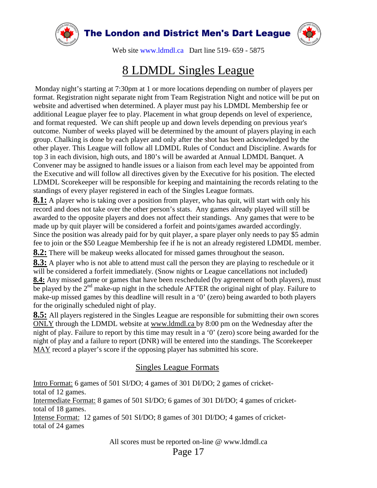

### 8 LDMDL Singles League

Monday night's starting at 7:30pm at 1 or more locations depending on number of players per format. Registration night separate night from Team Registration Night and notice will be put on website and advertised when determined. A player must pay his LDMDL Membership fee or additional League player fee to play. Placement in what group depends on level of experience, and format requested. We can shift people up and down levels depending on previous year's outcome. Number of weeks played will be determined by the amount of players playing in each group. Chalking is done by each player and only after the shot has been acknowledged by the other player. This League will follow all LDMDL Rules of Conduct and Discipline. Awards for top 3 in each division, high outs, and 180's will be awarded at Annual LDMDL Banquet. A Convener may be assigned to handle issues or a liaison from each level may be appointed from the Executive and will follow all directives given by the Executive for his position. The elected LDMDL Scorekeeper will be responsible for keeping and maintaining the records relating to the standings of every player registered in each of the Singles League formats.

**8.1:** A player who is taking over a position from player, who has quit, will start with only his record and does not take over the other person's stats. Any games already played will still be awarded to the opposite players and does not affect their standings. Any games that were to be made up by quit player will be considered a forfeit and points/games awarded accordingly. Since the position was already paid for by quit player, a spare player only needs to pay \$5 admin fee to join or the \$50 League Membership fee if he is not an already registered LDMDL member.

**8.2:** There will be makeup weeks allocated for missed games throughout the season.

**8.3:** A player who is not able to attend must call the person they are playing to reschedule or it will be considered a forfeit immediately. (Snow nights or League cancellations not included) **8.4:** Any missed game or games that have been rescheduled (by agreement of both players), must be played by the  $2<sup>nd</sup>$  make-up night in the schedule AFTER the original night of play. Failure to make-up missed games by this deadline will result in a '0' (zero) being awarded to both players for the originally scheduled night of play.

**8.5:** All players registered in the Singles League are responsible for submitting their own scores ONLY through the LDMDL website at www.ldmdl.ca by 8:00 pm on the Wednesday after the night of play. Failure to report by this time may result in a '0' (zero) score being awarded for the night of play and a failure to report (DNR) will be entered into the standings. The Scorekeeper MAY record a player's score if the opposing player has submitted his score.

#### Singles League Formats

Intro Format: 6 games of 501 SI/DO; 4 games of 301 DI/DO; 2 games of crickettotal of 12 games. Intermediate Format: 8 games of 501 SI/DO; 6 games of 301 DI/DO; 4 games of crickettotal of 18 games. Intense Format: 12 games of 501 SI/DO; 8 games of 301 DI/DO; 4 games of crickettotal of 24 games

All scores must be reported on-line @ www.ldmdl.ca

Page 17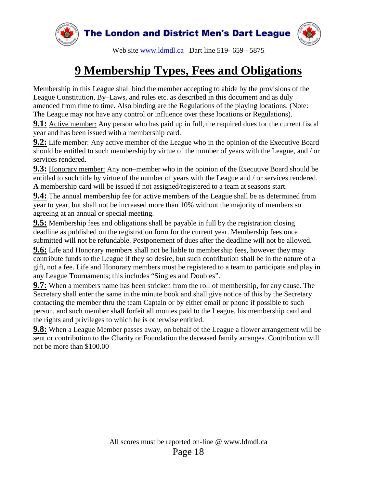

### **9 Membership Types, Fees and Obligations**

Membership in this League shall bind the member accepting to abide by the provisions of the League Constitution, By–Laws, and rules etc. as described in this document and as duly amended from time to time. Also binding are the Regulations of the playing locations. (Note: The League may not have any control or influence over these locations or Regulations).

**9.1:** Active member: Any person who has paid up in full, the required dues for the current fiscal year and has been issued with a membership card.

**9.2:** Life member: Any active member of the League who in the opinion of the Executive Board should be entitled to such membership by virtue of the number of years with the League, and / or services rendered.

**9.3:** Honorary member: Any non–member who in the opinion of the Executive Board should be entitled to such title by virtue of the number of years with the League and / or services rendered. **A** membership card will be issued if not assigned/registered to a team at seasons start.

**9.4:** The annual membership fee for active members of the League shall be as determined from year to year, but shall not be increased more than 10% without the majority of members so agreeing at an annual or special meeting.

**9.5:** Membership fees and obligations shall be payable in full by the registration closing deadline as published on the registration form for the current year. Membership fees once submitted will not be refundable. Postponement of dues after the deadline will not be allowed.

**9.6:** Life and Honorary members shall not be liable to membership fees, however they may contribute funds to the League if they so desire, but such contribution shall be in the nature of a gift, not a fee. Life and Honorary members must be registered to a team to participate and play in any League Tournaments; this includes "Singles and Doubles".

**9.7:** When a members name has been stricken from the roll of membership, for any cause. The Secretary shall enter the same in the minute book and shall give notice of this by the Secretary contacting the member thru the team Captain or by either email or phone if possible to such person, and such member shall forfeit all monies paid to the League, his membership card and the rights and privileges to which he is otherwise entitled.

**9.8:** When a League Member passes away, on behalf of the League a flower arrangement will be sent or contribution to the Charity or Foundation the deceased family arranges. Contribution will not be more than \$100.00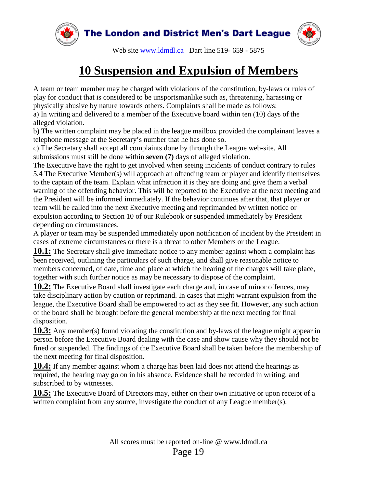

### **10 Suspension and Expulsion of Members**

A team or team member may be charged with violations of the constitution, by-laws or rules of play for conduct that is considered to be unsportsmanlike such as, threatening, harassing or physically abusive by nature towards others. Complaints shall be made as follows:

a) In writing and delivered to a member of the Executive board within ten (10) days of the alleged violation.

b) The written complaint may be placed in the league mailbox provided the complainant leaves a telephone message at the Secretary's number that he has done so.

c) The Secretary shall accept all complaints done by through the League web-site. All submissions must still be done within **seven (7)** days of alleged violation.

The Executive have the right to get involved when seeing incidents of conduct contrary to rules 5.4 The Executive Member(s) will approach an offending team or player and identify themselves to the captain of the team. Explain what infraction it is they are doing and give them a verbal warning of the offending behavior. This will be reported to the Executive at the next meeting and the President will be informed immediately. If the behavior continues after that, that player or team will be called into the next Executive meeting and reprimanded by written notice or expulsion according to Section 10 of our Rulebook or suspended immediately by President depending on circumstances.

A player or team may be suspended immediately upon notification of incident by the President in cases of extreme circumstances or there is a threat to other Members or the League.

**10.1:** The Secretary shall give immediate notice to any member against whom a complaint has been received, outlining the particulars of such charge, and shall give reasonable notice to members concerned, of date, time and place at which the hearing of the charges will take place, together with such further notice as may be necessary to dispose of the complaint.

**10.2:** The Executive Board shall investigate each charge and, in case of minor offences, may take disciplinary action by caution or reprimand. In cases that might warrant expulsion from the league, the Executive Board shall be empowered to act as they see fit. However, any such action of the board shall be brought before the general membership at the next meeting for final disposition.

**10.3:** Any member(s) found violating the constitution and by-laws of the league might appear in person before the Executive Board dealing with the case and show cause why they should not be fined or suspended. The findings of the Executive Board shall be taken before the membership of the next meeting for final disposition.

**10.4:** If any member against whom a charge has been laid does not attend the hearings as required, the hearing may go on in his absence. Evidence shall be recorded in writing, and subscribed to by witnesses.

**10.5:** The Executive Board of Directors may, either on their own initiative or upon receipt of a written complaint from any source, investigate the conduct of any League member(s).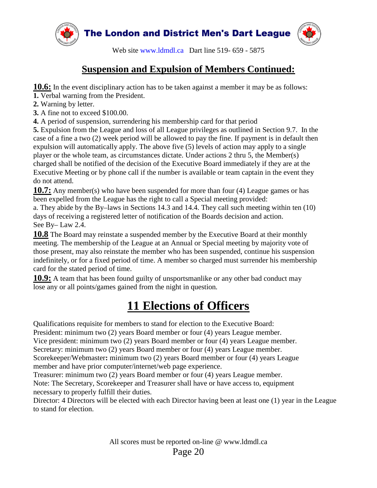

#### **Suspension and Expulsion of Members Continued:**

**10.6:** In the event disciplinary action has to be taken against a member it may be as follows:

- **1.** Verbal warning from the President.
- **2.** Warning by letter.
- **3.** A fine not to exceed \$100.00.

**4.** A period of suspension, surrendering his membership card for that period

**5.** Expulsion from the League and loss of all League privileges as outlined in Section 9.7. In the case of a fine a two (2) week period will be allowed to pay the fine. If payment is in default then expulsion will automatically apply. The above five (5) levels of action may apply to a single player or the whole team, as circumstances dictate. Under actions 2 thru 5, the Member(s) charged shall be notified of the decision of the Executive Board immediately if they are at the Executive Meeting or by phone call if the number is available or team captain in the event they do not attend.

**10.7:** Any member(s) who have been suspended for more than four (4) League games or has been expelled from the League has the right to call a Special meeting provided:

a. They abide by the By–laws in Sections 14.3 and 14.4. They call such meeting within ten (10) days of receiving a registered letter of notification of the Boards decision and action. See By– Law 2.4.

**10.8** The Board may reinstate a suspended member by the Executive Board at their monthly meeting. The membership of the League at an Annual or Special meeting by majority vote of those present, may also reinstate the member who has been suspended, continue his suspension indefinitely, or for a fixed period of time. A member so charged must surrender his membership card for the stated period of time.

**10.9:** A team that has been found guilty of unsportsmanlike or any other bad conduct may lose any or all points/games gained from the night in question*.*

### **11 Elections of Officers**

Qualifications requisite for members to stand for election to the Executive Board:

President: minimum two (2) years Board member or four (4) years League member.

Vice president: minimum two (2) years Board member or four (4) years League member.

Secretary: minimum two (2) years Board member or four (4) years League member.

Scorekeeper/Webmaster**:** minimum two (2) years Board member or four (4) years League member and have prior computer/internet/web page experience.

Treasurer: minimum two (2) years Board member or four (4) years League member. Note: The Secretary, Scorekeeper and Treasurer shall have or have access to, equipment

necessary to properly fulfill their duties.

Director: 4 Directors will be elected with each Director having been at least one (1) year in the League to stand for election.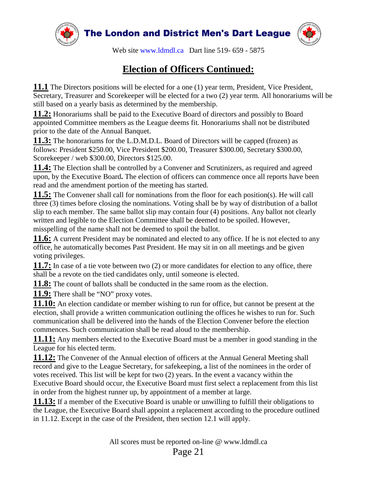

#### **Election of Officers Continued:**

**11.1** The Directors positions will be elected for a one (1) year term, President, Vice President, Secretary, Treasurer and Scorekeeper will be elected for a two (2) year term*.* All honorariums will be still based on a yearly basis as determined by the membership.

**11.2:** Honorariums shall be paid to the Executive Board of directors and possibly to Board appointed Committee members as the League deems fit. Honorariums shall not be distributed prior to the date of the Annual Banquet.

**11.3:** The honorariums for the L.D.M.D.L. Board of Directors will be capped (frozen) as follows: President \$250.00, Vice President \$200.00, Treasurer \$300.00, Secretary \$300.00, Scorekeeper / web \$300.00, Directors \$125.00.

**11.4:** The Election shall be controlled by a Convener and Scrutinizers, as required and agreed upon, by the Executive Board**.** The election of officers can commence once all reports have been read and the amendment portion of the meeting has started.

**11.5:** The Convener shall call for nominations from the floor for each position(s). He will call three (3) times before closing the nominations. Voting shall be by way of distribution of a ballot slip to each member. The same ballot slip may contain four (4) positions. Any ballot not clearly written and legible to the Election Committee shall be deemed to be spoiled. However, misspelling of the name shall not be deemed to spoil the ballot.

**11.6:** A current President may be nominated and elected to any office. If he is not elected to any office, he automatically becomes Past President. He may sit in on all meetings and be given voting privileges.

**11.7:** In case of a tie vote between two (2) or more candidates for election to any office, there shall be a revote on the tied candidates only, until someone is elected.

**11.8:** The count of ballots shall be conducted in the same room as the election.

**11.9:** There shall be "NO" proxy votes.

**11.10:** An election candidate or member wishing to run for office, but cannot be present at the election, shall provide a written communication outlining the offices he wishes to run for. Such communication shall be delivered into the hands of the Election Convener before the election commences. Such communication shall be read aloud to the membership.

**11.11:** Any members elected to the Executive Board must be a member in good standing in the League for his elected term.

**11.12:** The Convener of the Annual election of officers at the Annual General Meeting shall record and give to the League Secretary, for safekeeping, a list of the nominees in the order of votes received. This list will be kept for two (2) years. In the event a vacancy within the Executive Board should occur, the Executive Board must first select a replacement from this list in order from the highest runner up, by appointment of a member at large.

**11.13:** If a member of the Executive Board is unable or unwilling to fulfill their obligations to the League, the Executive Board shall appoint a replacement according to the procedure outlined in 11.12. Except in the case of the President, then section 12.1 will apply.

Page 21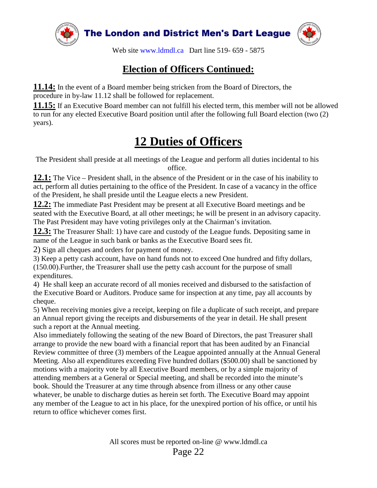

#### **Election of Officers Continued:**

**11.14:** In the event of a Board member being stricken from the Board of Directors, the procedure in by-law 11.12 shall be followed for replacement.

**11.15:** If an Executive Board member can not fulfill his elected term, this member will not be allowed to run for any elected Executive Board position until after the following full Board election (two (2) years).

### **12 Duties of Officers**

The President shall preside at all meetings of the League and perform all duties incidental to his office.

**12.1:** The Vice – President shall, in the absence of the President or in the case of his inability to act, perform all duties pertaining to the office of the President. In case of a vacancy in the office of the President, he shall preside until the League elects a new President.

**12.2:** The immediate Past President may be present at all Executive Board meetings and be seated with the Executive Board, at all other meetings; he will be present in an advisory capacity. The Past President may have voting privileges only at the Chairman's invitation.

**12.3:** The Treasurer Shall: 1) have care and custody of the League funds. Depositing same in name of the League in such bank or banks as the Executive Board sees fit.

2) Sign all cheques and orders for payment of money.

3) Keep a petty cash account, have on hand funds not to exceed One hundred and fifty dollars, (150.00).Further, the Treasurer shall use the petty cash account for the purpose of small expenditures.

4) He shall keep an accurate record of all monies received and disbursed to the satisfaction of the Executive Board or Auditors. Produce same for inspection at any time, pay all accounts by cheque.

5) When receiving monies give a receipt, keeping on file a duplicate of such receipt, and prepare an Annual report giving the receipts and disbursements of the year in detail. He shall present such a report at the Annual meeting.

Also immediately following the seating of the new Board of Directors, the past Treasurer shall arrange to provide the new board with a financial report that has been audited by an Financial Review committee of three (3) members of the League appointed annually at the Annual General Meeting. Also all expenditures exceeding Five hundred dollars (\$500.00) shall be sanctioned by motions with a majority vote by all Executive Board members, or by a simple majority of attending members at a General or Special meeting, and shall be recorded into the minute's book. Should the Treasurer at any time through absence from illness or any other cause whatever, be unable to discharge duties as herein set forth. The Executive Board may appoint any member of the League to act in his place, for the unexpired portion of his office, or until his return to office whichever comes first.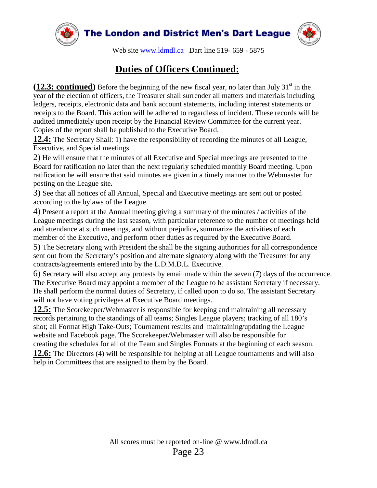

#### **Duties of Officers Continued:**

**(12.3: continued)** Before the beginning of the new fiscal year, no later than July  $31<sup>st</sup>$  in the year of the election of officers, the Treasurer shall surrender all matters and materials including ledgers, receipts, electronic data and bank account statements, including interest statements or receipts to the Board. This action will be adhered to regardless of incident. These records will be audited immediately upon receipt by the Financial Review Committee for the current year. Copies of the report shall be published to the Executive Board.

**12.4:** The Secretary Shall: 1) have the responsibility of recording the minutes of all League, Executive, and Special meetings.

2) He will ensure that the minutes of all Executive and Special meetings are presented to the Board for ratification no later than the next regularly scheduled monthly Board meeting. Upon ratification he will ensure that said minutes are given in a timely manner to the Webmaster for posting on the League site**.**

3) See that all notices of all Annual, Special and Executive meetings are sent out or posted according to the bylaws of the League.

4) Present a report at the Annual meeting giving a summary of the minutes / activities of the League meetings during the last season, with particular reference to the number of meetings held and attendance at such meetings, and without prejudice**,** summarize the activities of each member of the Executive, and perform other duties as required by the Executive Board.

5) The Secretary along with President the shall be the signing authorities for all correspondence sent out from the Secretary's position and alternate signatory along with the Treasurer for any contracts/agreements entered into by the L.D.M.D.L. Executive.

6) Secretary will also accept any protests by email made within the seven (7) days of the occurrence. The Executive Board may appoint a member of the League to be assistant Secretary if necessary. He shall perform the normal duties of Secretary, if called upon to do so. The assistant Secretary will not have voting privileges at Executive Board meetings.

**12.5:** The Scorekeeper/Webmaster is responsible for keeping and maintaining all necessary records pertaining to the standings of all teams; Singles League players; tracking of all 180's shot; all Format High Take-Outs; Tournament results and maintaining/updating the League website and Facebook page. The Scorekeeper/Webmaster will also be responsible for creating the schedules for all of the Team and Singles Formats at the beginning of each season. **12.6:** The Directors (4) will be responsible for helping at all League tournaments and will also

help in Committees that are assigned to them by the Board.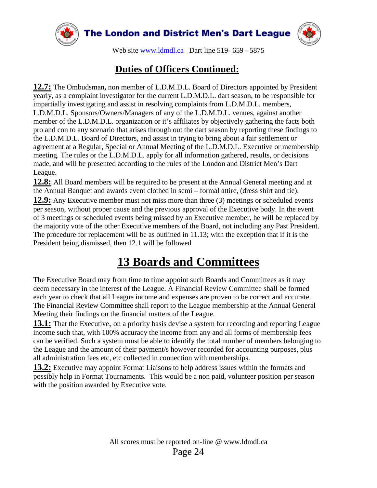

#### **Duties of Officers Continued:**

**12.7:** The Ombudsman**,** non member of L.D.M.D.L. Board of Directors appointed by President yearly, as a complaint investigator for the current L.D.M.D.L. dart season, to be responsible for impartially investigating and assist in resolving complaints from L.D.M.D.L. members, L.D.M.D.L. Sponsors/Owners/Managers of any of the L.D.M.D.L. venues, against another member of the L.D.M.D.L. organization or it's affiliates by objectively gathering the facts both pro and con to any scenario that arises through out the dart season by reporting these findings to the L.D.M.D.L. Board of Directors, and assist in trying to bring about a fair settlement or agreement at a Regular, Special or Annual Meeting of the L.D.M.D.L. Executive or membership meeting. The rules or the L.D.M.D.L. apply for all information gathered, results, or decisions made, and will be presented according to the rules of the London and District Men's Dart League.

**12.8:** All Board members will be required to be present at the Annual General meeting and at the Annual Banquet and awards event clothed in semi – formal attire, (dress shirt and tie). **12.9:** Any Executive member must not miss more than three (3) meetings or scheduled events per season, without proper cause and the previous approval of the Executive body. In the event of 3 meetings or scheduled events being missed by an Executive member, he will be replaced by the majority vote of the other Executive members of the Board, not including any Past President. The procedure for replacement will be as outlined in 11.13; with the exception that if it is the President being dismissed, then 12.1 will be followed

### **13 Boards and Committees**

The Executive Board may from time to time appoint such Boards and Committees as it may deem necessary in the interest of the League. A Financial Review Committee shall be formed each year to check that all League income and expenses are proven to be correct and accurate. The Financial Review Committee shall report to the League membership at the Annual General Meeting their findings on the financial matters of the League.

**13.1:** That the Executive, on a priority basis devise a system for recording and reporting League income such that, with 100% accuracy the income from any and all forms of membership fees can be verified. Such a system must be able to identify the total number of members belonging to the League and the amount of their payment/s however recorded for accounting purposes, plus all administration fees etc, etc collected in connection with memberships.

**13.2:** Executive may appoint Format Liaisons to help address issues within the formats and possibly help in Format Tournaments. This would be a non paid, volunteer position per season with the position awarded by Executive vote.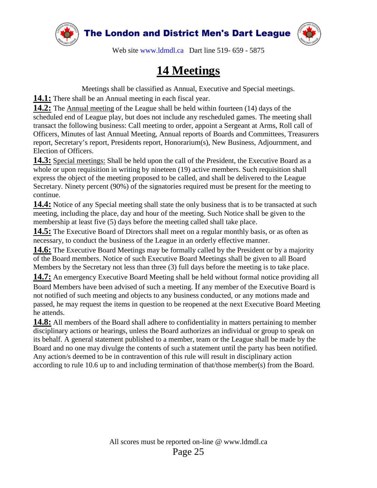



Web site [www.ldmdl.ca](http://www.ldmdl.ca/) Dart line 519- 659 - 5875

### **14 Meetings**

Meetings shall be classified as Annual, Executive and Special meetings.

**14.1:** There shall be an Annual meeting in each fiscal year.

**14.2:** The Annual meeting of the League shall be held within fourteen (14) days of the scheduled end of League play, but does not include any rescheduled games. The meeting shall transact the following business: Call meeting to order, appoint a Sergeant at Arms, Roll call of Officers, Minutes of last Annual Meeting, Annual reports of Boards and Committees, Treasurers report, Secretary's report, Presidents report, Honorarium(s), New Business, Adjournment, and Election of Officers.

**14.3:** Special meetings: Shall be held upon the call of the President, the Executive Board as a whole or upon requisition in writing by nineteen (19) active members. Such requisition shall express the object of the meeting proposed to be called, and shall be delivered to the League Secretary. Ninety percent (90%) of the signatories required must be present for the meeting to continue.

**14.4:** Notice of any Special meeting shall state the only business that is to be transacted at such meeting, including the place, day and hour of the meeting. Such Notice shall be given to the membership at least five (5) days before the meeting called shall take place.

**14.5:** The Executive Board of Directors shall meet on a regular monthly basis, or as often as necessary, to conduct the business of the League in an orderly effective manner.

**14.6:** The Executive Board Meetings may be formally called by the President or by a majority of the Board members. Notice of such Executive Board Meetings shall be given to all Board Members by the Secretary not less than three (3) full days before the meeting is to take place.

**14.7:** An emergency Executive Board Meeting shall be held without formal notice providing all Board Members have been advised of such a meeting. If any member of the Executive Board is not notified of such meeting and objects to any business conducted, or any motions made and passed, he may request the items in question to be reopened at the next Executive Board Meeting he attends.

**14.8:** All members of the Board shall adhere to confidentiality in matters pertaining to member disciplinary actions or hearings, unless the Board authorizes an individual or group to speak on its behalf. A general statement published to a member, team or the League shall be made by the Board and no one may divulge the contents of such a statement until the party has been notified. Any action/s deemed to be in contravention of this rule will result in disciplinary action according to rule 10.6 up to and including termination of that/those member(s) from the Board.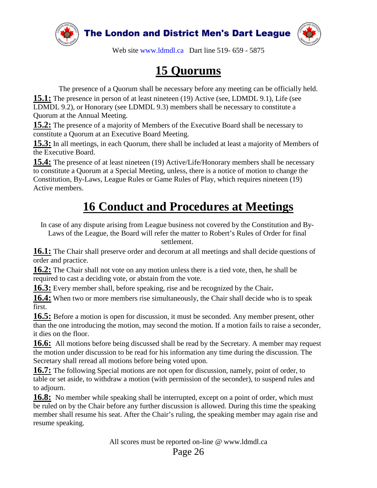



Web site [www.ldmdl.ca](http://www.ldmdl.ca/) Dart line 519- 659 - 5875

### **15 Quorums**

The presence of a Quorum shall be necessary before any meeting can be officially held. **15.1:** The presence in person of at least nineteen (19) Active (see, LDMDL 9.1), Life (see LDMDL 9.2), or Honorary (see LDMDL 9.3) members shall be necessary to constitute a Quorum at the Annual Meeting.

**15.2:** The presence of a majority of Members of the Executive Board shall be necessary to constitute a Quorum at an Executive Board Meeting.

**15.3:** In all meetings, in each Quorum, there shall be included at least a majority of Members of the Executive Board.

**15.4:** The presence of at least nineteen (19) Active/Life/Honorary members shall be necessary to constitute a Quorum at a Special Meeting, unless, there is a notice of motion to change the Constitution, By-Laws, League Rules or Game Rules of Play, which requires nineteen (19) Active members.

### **16 Conduct and Procedures at Meetings**

In case of any dispute arising from League business not covered by the Constitution and By-Laws of the League, the Board will refer the matter to Robert's Rules of Order for final

settlement.

**16.1:** The Chair shall preserve order and decorum at all meetings and shall decide questions of order and practice.

**16.2:** The Chair shall not vote on any motion unless there is a tied vote, then, he shall be required to cast a deciding vote, or abstain from the vote.

**16.3:** Every member shall, before speaking, rise and be recognized by the Chair**.** 

**16.4:** When two or more members rise simultaneously, the Chair shall decide who is to speak first.

**16.5:** Before a motion is open for discussion, it must be seconded. Any member present, other than the one introducing the motion, may second the motion. If a motion fails to raise a seconder, it dies on the floor.

**16.6:** All motions before being discussed shall be read by the Secretary. A member may request the motion under discussion to be read for his information any time during the discussion. The Secretary shall reread all motions before being voted upon.

**16.7:** The following Special motions are not open for discussion, namely, point of order, to table or set aside, to withdraw a motion (with permission of the seconder), to suspend rules and to adjourn.

**16.8:** No member while speaking shall be interrupted, except on a point of order, which must be ruled on by the Chair before any further discussion is allowed. During this time the speaking member shall resume his seat. After the Chair's ruling, the speaking member may again rise and resume speaking.

All scores must be reported on-line @ www.ldmdl.ca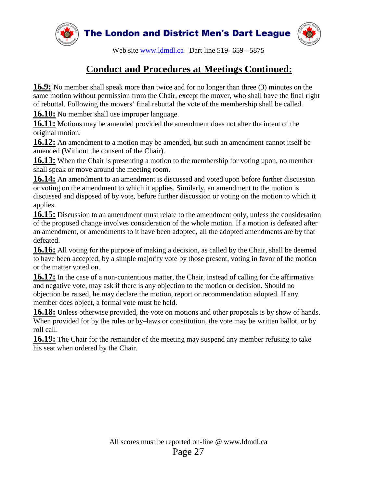



Web site [www.ldmdl.ca](http://www.ldmdl.ca/) Dart line 519- 659 - 5875

#### **Conduct and Procedures at Meetings Continued:**

**16.9:** No member shall speak more than twice and for no longer than three (3) minutes on the same motion without permission from the Chair, except the mover, who shall have the final right of rebuttal. Following the movers' final rebuttal the vote of the membership shall be called.

**16.10:** No member shall use improper language.

**16.11:** Motions may be amended provided the amendment does not alter the intent of the original motion.

**16.12:** An amendment to a motion may be amended, but such an amendment cannot itself be amended (Without the consent of the Chair).

**16.13:** When the Chair is presenting a motion to the membership for voting upon, no member shall speak or move around the meeting room.

**16.14:** An amendment to an amendment is discussed and voted upon before further discussion or voting on the amendment to which it applies. Similarly, an amendment to the motion is discussed and disposed of by vote, before further discussion or voting on the motion to which it applies.

**16.15:** Discussion to an amendment must relate to the amendment only, unless the consideration of the proposed change involves consideration of the whole motion. If a motion is defeated after an amendment, or amendments to it have been adopted, all the adopted amendments are by that defeated.

**16.16:** All voting for the purpose of making a decision, as called by the Chair, shall be deemed to have been accepted, by a simple majority vote by those present, voting in favor of the motion or the matter voted on.

**16.17:** In the case of a non-contentious matter, the Chair, instead of calling for the affirmative and negative vote, may ask if there is any objection to the motion or decision. Should no objection be raised, he may declare the motion, report or recommendation adopted. If any member does object, a formal vote must be held.

**16.18:** Unless otherwise provided, the vote on motions and other proposals is by show of hands. When provided for by the rules or by–laws or constitution, the vote may be written ballot, or by roll call.

**16.19:** The Chair for the remainder of the meeting may suspend any member refusing to take his seat when ordered by the Chair.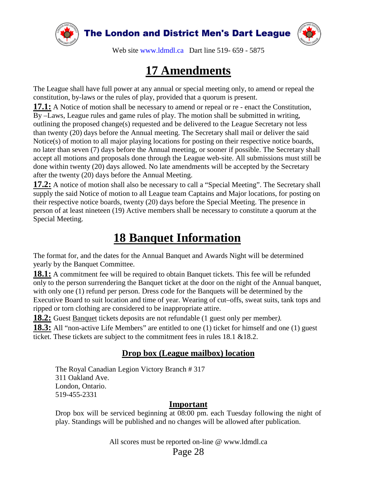



Web site [www.ldmdl.ca](http://www.ldmdl.ca/) Dart line 519- 659 - 5875

### **17 Amendments**

The League shall have full power at any annual or special meeting only, to amend or repeal the constitution, by-laws or the rules of play, provided that a quorum is present.

**17.1:** A Notice of motion shall be necessary to amend or repeal or re - enact the Constitution, By –Laws, League rules and game rules of play. The motion shall be submitted in writing, outlining the proposed change(s) requested and be delivered to the League Secretary not less than twenty (20) days before the Annual meeting. The Secretary shall mail or deliver the said Notice(s) of motion to all major playing locations for posting on their respective notice boards, no later than seven (7) days before the Annual meeting, or sooner if possible. The Secretary shall accept all motions and proposals done through the League web-site. All submissions must still be done within twenty (20) days allowed. No late amendments will be accepted by the Secretary after the twenty (20) days before the Annual Meeting.

**17.2:** A notice of motion shall also be necessary to call a "Special Meeting". The Secretary shall supply the said Notice of motion to all League team Captains and Major locations, for posting on their respective notice boards, twenty (20) days before the Special Meeting. The presence in person of at least nineteen (19) Active members shall be necessary to constitute a quorum at the Special Meeting.

#### **18 Banquet Information**

The format for, and the dates for the Annual Banquet and Awards Night will be determined yearly by the Banquet Committee.

**18.1:** A commitment fee will be required to obtain Banquet tickets. This fee will be refunded only to the person surrendering the Banquet ticket at the door on the night of the Annual banquet, with only one (1) refund per person. Dress code for the Banquets will be determined by the Executive Board to suit location and time of year. Wearing of cut–offs, sweat suits, tank tops and ripped or torn clothing are considered to be inappropriate attire.

**18.2:** Guest Banquet tickets deposits are not refundable (1 guest only per member*).*

**18.3:** All "non-active Life Members" are entitled to one (1) ticket for himself and one (1) guest ticket. These tickets are subject to the commitment fees in rules 18.1 &18.2.

#### **Drop box (League mailbox) location**

The Royal Canadian Legion Victory Branch # 317 311 Oakland Ave. London, Ontario. 519-455-2331

#### **Important**

Drop box will be serviced beginning at 08:00 pm. each Tuesday following the night of play. Standings will be published and no changes will be allowed after publication.

All scores must be reported on-line @ www.ldmdl.ca

Page 28